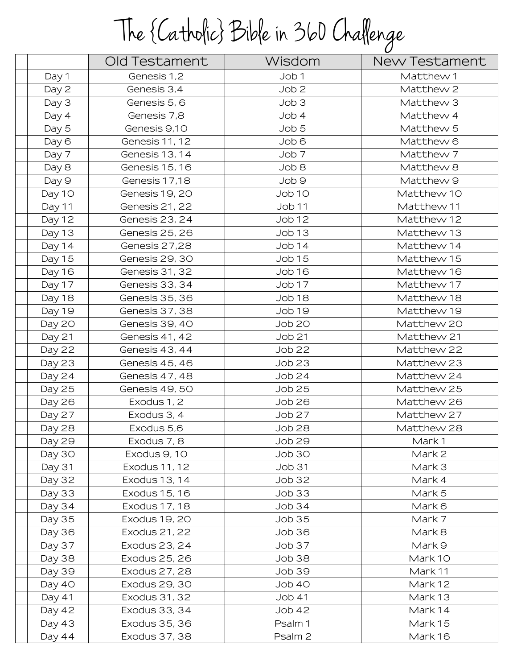## The {Catholic} Bible in 360 Challenge

|               | Old Testament  | Wisdom           | New Testament |
|---------------|----------------|------------------|---------------|
| Day 1         | Genesis 1,2    | Job 1            | Matthew 1     |
| Day 2         | Genesis 3,4    | Job <sub>2</sub> | Matthew 2     |
| Day 3         | Genesis 5, 6   | Job 3            | Matthew 3     |
| Day 4         | Genesis 7,8    | Job 4            | Matthew 4     |
| Day 5         | Genesis 9,10   | Job 5            | Matthew 5     |
| Day 6         | Genesis 11, 12 | Job 6            | Matthew 6     |
| Day 7         | Genesis 13, 14 | Job <sub>7</sub> | Matthew 7     |
| Day 8         | Genesis 15, 16 | 8 dol            | Matthew 8     |
| Day 9         | Genesis 17,18  | Job 9            | Matthew 9     |
| Day 10        | Genesis 19, 20 | Job 10           | Matthew 10    |
| Day 11        | Genesis 21, 22 | Job 11           | Matthew 11    |
| Day 12        | Genesis 23, 24 | Job 12           | Matthew 12    |
| Day 13        | Genesis 25, 26 | Job 13           | Matthew 13    |
| Day 14        | Genesis 27,28  | Job14            | Matthew 14    |
| Day 15        | Genesis 29, 30 | <b>Job 15</b>    | Matthew 15    |
| Day 16        | Genesis 31, 32 | Job 16           | Matthew 16    |
| Day 17        | Genesis 33, 34 | Job 17           | Matthew 17    |
| Day 18        | Genesis 35, 36 | Job 18           | Matthew 18    |
| Day 19        | Genesis 37, 38 | Job 19           | Matthew 19    |
| Day 20        | Genesis 39, 40 | Job 20           | Matthew 20    |
| Day 21        | Genesis 41, 42 | <b>Job 21</b>    | Matthew 21    |
| Day 22        | Genesis 43, 44 | Job 22           | Matthew 22    |
| Day 23        | Genesis 45, 46 | Job 23           | Matthew 23    |
| Day 24        | Genesis 47, 48 | Job24            | Matthew 24    |
| Day 25        | Genesis 49, 50 | <b>Job 25</b>    | Matthew 25    |
| Day 26        | Exodus 1, 2    | Job 26           | Matthew 26    |
| Day 27        | Exodus 3, 4    | Job 27           | Matthew 27    |
| Day 28        | Exodus 5,6     | Job 28           | Matthew 28    |
| Day 29        | Exodus 7, 8    | <b>Job 29</b>    | Mark1         |
| Day 30        | Exodus 9, 10   | Job 30           | Mark 2        |
| Day 31        | Exodus 11, 12  | <b>Job 31</b>    | Mark 3        |
| Day 32        | Exodus 13, 14  | Job 32           | Mark 4        |
| Day 33        | Exodus 15, 16  | Job 33           | Mark 5        |
| Day 34        | Exodus 17, 18  | Job34            | Mark 6        |
| Day 35        | Exodus 19, 20  | <b>Job 35</b>    | Mark 7        |
| <b>Day 36</b> | Exodus 21, 22  | Job 36           | Mark 8        |
| Day 37        | Exodus 23, 24  | Job 37           | Mark 9        |
| Day 38        | Exodus 25, 26  | Job 38           | Mark 10       |
| Day 39        | Exodus 27, 28  | <b>Job 39</b>    | Mark 11       |
| Day 40        | Exodus 29, 30  | Job 40           | Mark 12       |
| Day 41        | Exodus 31, 32  | <b>Job 41</b>    | Mark 13       |
| Day 42        | Exodus 33, 34  | <b>Job 42</b>    | Mark 14       |
| Day 43        | Exodus 35, 36  | Psalm 1          | Mark 15       |
| Day 44        | Exodus 37, 38  | Psalm 2          | Mark 16       |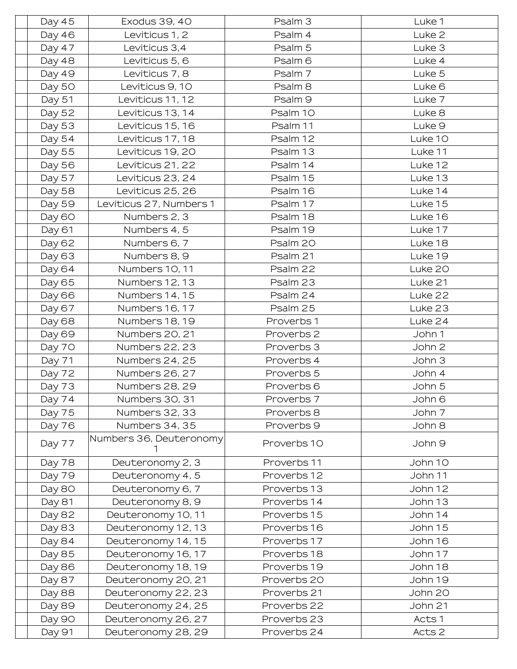| Day 45 | Exodus 39, 40           | Psalm 3            | Luke 1            |
|--------|-------------------------|--------------------|-------------------|
| Day 46 | Leviticus 1, 2          | Psalm 4            | Luke <sub>2</sub> |
| Day 47 | Leviticus 3,4           | Psalm 5            | Luke 3            |
| Day 48 | Leviticus 5, 6          | Psalm <sub>6</sub> | Luke 4            |
| Day 49 | Leviticus 7, 8          | Psalm 7            | Luke 5            |
| Day 50 | Leviticus 9, 10         | Psalm 8            | Luke <sub>6</sub> |
| Day 51 | Leviticus 11, 12        | Psalm <sub>9</sub> | Luke 7            |
| Day 52 | Leviticus 13, 14        | Psalm 10           | Luke 8            |
| Day 53 | Leviticus 15, 16        | Psalm 11           | Luke <sub>9</sub> |
| Day 54 | Leviticus 17, 18        | Psalm 12           | Luke 10           |
| Day 55 | Leviticus 19, 20        | Psalm 13           | Luke 11           |
| Day 56 | Leviticus 21, 22        | Psalm 14           | Luke 12           |
| Day 57 | Leviticus 23, 24        | Psalm 15           | Luke 13           |
| Day 58 | Leviticus 25, 26        | Psalm 16           | Luke 14           |
| Day 59 | Leviticus 27, Numbers 1 | Psalm 17           | Luke 15           |
| Day 60 | Numbers 2, 3            | Psalm 18           | Luke 16           |
| Day 61 | Numbers 4, 5            | Psalm 19           | Luke 17           |
| Day 62 | Numbers 6, 7            | Psalm 20           | Luke 18           |
| Day 63 | Numbers 8, 9            | Psalm 21           | Luke 19           |
| Day 64 | Numbers 10, 11          | Psalm 22           | Luke 20           |
| Day 65 | Numbers 12, 13          | Psalm 23           | Luke 21           |
| Day 66 | Numbers 14, 15          | Psalm 24           | Luke 22           |
| Day 67 | Numbers 16, 17          | Psalm 25           | Luke 23           |
| Day 68 | Numbers 18, 19          | Proverbs 1         | Luke 24           |
| Day 69 | Numbers 20, 21          | Proverbs 2         | John 1            |
| Day 70 | Numbers 22, 23          | Proverbs 3         | John 2            |
| Day 71 | Numbers 24, 25          | Proverbs 4         | John 3            |
| Day 72 | Numbers 26, 27          | Proverbs 5         | John 4            |
| Day 73 | Numbers 28, 29          | Proverbs 6         | John 5            |
| Day 74 | Numbers 30, 31          | Proverbs 7         | John 6            |
| Day 75 | Numbers 32, 33          | Proverbs 8         | John 7            |
| Day 76 | Numbers 34, 35          | Proverbs 9         | John 8            |
| Day 77 | Numbers 36, Deuteronomy | Proverbs 10        | John 9            |
| Day 78 | Deuteronomy 2, 3        | Proverbs 11        | John 10           |
| Day 79 | Deuteronomy 4, 5        | Proverbs 12        | John 11           |
| Day 80 | Deuteronomy 6, 7        | Proverbs 13        | John 12           |
| Day 81 | Deuteronomy 8, 9        | Proverbs 14        | John 13           |
| Day 82 | Deuteronomy 10, 11      | Proverbs 15        | John 14           |
| Day 83 | Deuteronomy 12, 13      | Proverbs 16        | John 15           |
| Day 84 | Deuteronomy 14, 15      | Proverbs 17        | John 16           |
| Day 85 | Deuteronomy 16, 17      | Proverbs 18        | John 17           |
| Day 86 | Deuteronomy 18, 19      | Proverbs 19        | John 18           |
| Day 87 | Deuteronomy 20, 21      | Proverbs 20        | John 19           |
| Day 88 | Deuteronomy 22, 23      | Proverbs 21        | John 20           |
| Day 89 | Deuteronomy 24, 25      | Proverbs 22        | John 21           |
| Day 90 | Deuteronomy 26, 27      | Proverbs 23        | Acts 1            |
| Day 91 | Deuteronomy 28, 29      | Proverbs 24        | Acts 2            |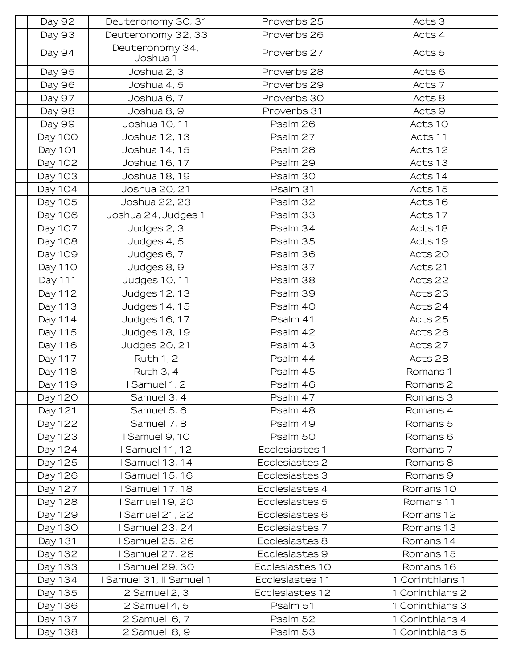| Day 92         | Deuteronomy 30, 31          | Proverbs 25     | Acts 3              |
|----------------|-----------------------------|-----------------|---------------------|
| Day 93         | Deuteronomy 32, 33          | Proverbs 26     | Acts 4              |
| Day 94         | Deuteronomy 34,<br>Joshua 1 | Proverbs 27     | Acts 5              |
| Day 95         | Joshua 2, 3                 | Proverbs 28     | Acts <sub>6</sub>   |
| Day 96         | Joshua 4, 5                 | Proverbs 29     | Acts 7              |
| Day 97         | Joshua 6, 7                 | Proverbs 30     | Acts 8              |
| Day 98         | Joshua 8, 9                 | Proverbs 31     | Acts 9              |
| Day 99         | Joshua 10, 11               | Psalm 26        | Acts 10             |
| Day 100        | Joshua 12, 13               | Psalm 27        | Acts 11             |
| Day 101        | Joshua 14, 15               | Psalm 28        | Acts 12             |
| Day 102        | Joshua 16, 17               | Psalm 29        | Acts 13             |
| Day 103        | Joshua 18, 19               | Psalm 30        | Acts 14             |
| Day 104        | Joshua 20, 21               | Psalm 31        | Acts 15             |
| Day 105        | Joshua 22, 23               | Psalm 32        | Acts 16             |
| Day 106        | Joshua 24, Judges 1         | Psalm 33        | Acts 17             |
| Day 107        | Judges 2, 3                 | Psalm 34        | Acts 18             |
| Day 108        | Judges 4, 5                 | Psalm 35        | Acts 19             |
| Day 109        | Judges 6, 7                 | Psalm 36        | Acts 20             |
| <b>Day 110</b> | Judges 8, 9                 | Psalm 37        | Acts 21             |
| Day 111        | Judges 10, 11               | Psalm 38        | Acts 22             |
| Day 112        | Judges 12, 13               | Psalm 39        | Acts 23             |
| Day 113        | Judges 14, 15               | Psalm 40        | Acts 24             |
| Day 114        | Judges 16, 17               | Psalm 41        | Acts 25             |
| Day 115        | Judges 18, 19               | Psalm 42        | Acts 26             |
| Day 116        | Judges 20, 21               | Psalm 43        | Acts 27             |
| Day 117        | <b>Ruth 1, 2</b>            | Psalm 44        | Acts 28             |
| Day 118        | Ruth 3, 4                   | Psalm 45        | Romans 1            |
| Day 119        | Samuel 1, 2                 | Psalm 46        | Romans 2            |
| Day 120        | l Samuel 3, 4               | Psalm 47        | Romans 3            |
| Day 121        | Samuel 5, 6                 | Psalm 48        | Romans 4            |
| Day 122        | I Samuel 7, 8               | Psalm 49        | Romans 5            |
| Day 123        | Samuel 9, 10                | Psalm 50        | Romans <sub>6</sub> |
| Day 124        | <b>I Samuel 11, 12</b>      | Ecclesiastes 1  | Romans 7            |
| Day 125        | <b>Samuel 13, 14</b>        | Ecclesiastes 2  | Romans 8            |
| Day 126        | <b>Samuel 15, 16</b>        | Ecclesiastes 3  | Romans 9            |
| Day 127        | <b>Samuel 17, 18</b>        | Ecclesiastes 4  | Romans 10           |
| Day 128        | Samuel 19, 20               | Ecclesiastes 5  | Romans 11           |
| Day 129        | Samuel 21, 22               | Ecclesiastes 6  | Romans 12           |
| Day 130        | <b>Samuel 23, 24</b>        | Ecclesiastes 7  | Romans 13           |
| Day 131        | <b>Samuel 25, 26</b>        | Ecclesiastes 8  | Romans 14           |
| Day 132        | Samuel 27, 28               | Ecclesiastes 9  | Romans 15           |
| Day 133        | <b>Samuel 29, 30</b>        | Ecclesiastes 10 | Romans 16           |
| Day 134        | I Samuel 31, II Samuel 1    | Ecclesiastes 11 | 1 Corinthians 1     |
| Day 135        | 2 Samuel 2, 3               | Ecclesiastes 12 | 1 Corinthians 2     |
| Day 136        | 2 Samuel 4, 5               | Psalm 51        | 1 Corinthians 3     |
| Day 137        | 2 Samuel 6, 7               | Psalm 52        | 1 Corinthians 4     |
| Day 138        | 2 Samuel 8, 9               | Psalm 53        | 1 Corinthians 5     |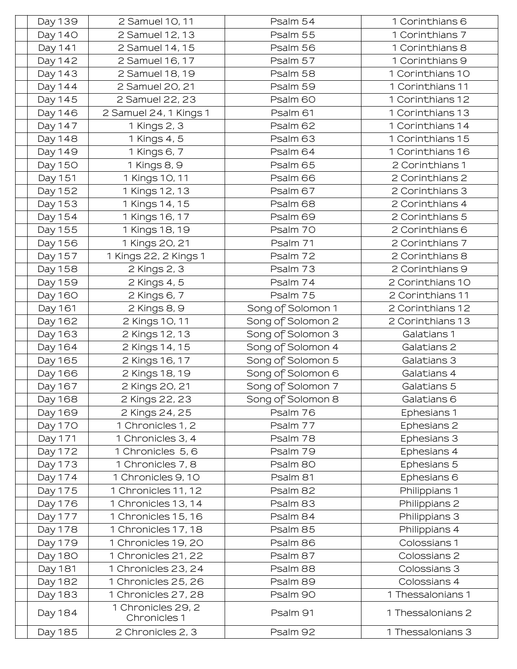| Day 139        | 2 Samuel 10, 11                    | Psalm 54          | 1 Corinthians 6   |
|----------------|------------------------------------|-------------------|-------------------|
| Day 140        | 2 Samuel 12, 13                    | Psalm 55          | 1 Corinthians 7   |
| Day 141        | 2 Samuel 14, 15                    | Psalm 56          | 1 Corinthians 8   |
| Day 142        | 2 Samuel 16, 17                    | Psalm 57          | 1 Corinthians 9   |
| Day 143        | 2 Samuel 18, 19                    | Psalm 58          | 1 Corinthians 10  |
| Day 144        | 2 Samuel 20, 21                    | Psalm 59          | 1 Corinthians 11  |
| Day 145        | 2 Samuel 22, 23                    | Psalm 60          | 1 Corinthians 12  |
| Day 146        | 2 Samuel 24, 1 Kings 1             | Psalm 61          | 1 Corinthians 13  |
| Day 147        | 1 Kings 2, 3                       | Psalm 62          | 1 Corinthians 14  |
| Day 148        | 1 Kings 4, 5                       | Psalm 63          | 1 Corinthians 15  |
| Day 149        | 1 Kings 6, 7                       | Psalm 64          | 1 Corinthians 16  |
| Day 150        | 1 Kings 8, 9                       | Psalm 65          | 2 Corinthians 1   |
| Day 151        | 1 Kings 10, 11                     | Psalm 66          | 2 Corinthians 2   |
| Day 152        | 1 Kings 12, 13                     | Psalm 67          | 2 Corinthians 3   |
| Day 153        | 1 Kings 14, 15                     | Psalm 68          | 2 Corinthians 4   |
| Day 154        | 1 Kings 16, 17                     | Psalm 69          | 2 Corinthians 5   |
| Day 155        | 1 Kings 18, 19                     | Psalm 70          | 2 Corinthians 6   |
| Day 156        | 1 Kings 20, 21                     | Psalm 71          | 2 Corinthians 7   |
| Day 157        | 1 Kings 22, 2 Kings 1              | Psalm 72          | 2 Corinthians 8   |
| Day 158        | 2 Kings 2, 3                       | Psalm 73          | 2 Corinthians 9   |
| Day 159        | 2 Kings 4, 5                       | Psalm 74          | 2 Corinthians 10  |
| Day 160        | 2 Kings 6, 7                       | Psalm 75          | 2 Corinthians 11  |
| Day 161        | 2 Kings 8, 9                       | Song of Solomon 1 | 2 Corinthians 12  |
| Day 162        | 2 Kings 10, 11                     | Song of Solomon 2 | 2 Corinthians 13  |
| Day 163        | 2 Kings 12, 13                     | Song of Solomon 3 | Galatians 1       |
| Day 164        | 2 Kings 14, 15                     | Song of Solomon 4 | Galatians 2       |
| Day 165        | 2 Kings 16, 17                     | Song of Solomon 5 | Galatians 3       |
| Day 166        | 2 Kings 18, 19                     | Song of Solomon 6 | Galatians 4       |
| Day 167        | 2 Kings 20, 21                     | Song of Solomon 7 | Galatians 5       |
| Day 168        | 2 Kings 22, 23                     | Song of Solomon 8 | Galatians 6       |
| Day 169        | 2 Kings 24, 25                     | Psalm 76          | Ephesians 1       |
| Day 170        | 1 Chronicles 1, 2                  | Psalm 77          | Ephesians 2       |
| Day 171        | 1 Chronicles 3, 4                  | Psalm 78          | Ephesians 3       |
| Day 172        | 1 Chronicles 5, 6                  | Psalm 79          | Ephesians 4       |
| Day 173        | 1 Chronicles 7, 8                  | Psalm 80          | Ephesians 5       |
| Day 174        | 1 Chronicles 9, 10                 | Psalm 81          | Ephesians 6       |
| Day 175        | 1 Chronicles 11, 12                | Psalm 82          | Philippians 1     |
| Day 176        | 1 Chronicles 13, 14                | Psalm 83          | Philippians 2     |
| Day 177        | 1 Chronicles 15, 16                | Psalm 84          | Philippians 3     |
| Day 178        | 1 Chronicles 17, 18                | Psalm 85          | Philippians 4     |
| Day 179        | 1 Chronicles 19, 20                | Psalm 86          | Colossians 1      |
| <b>Day 180</b> | 1 Chronicles 21, 22                | Psalm 87          | Colossians 2      |
| Day 181        | 1 Chronicles 23, 24                | Psalm 88          | Colossians 3      |
| Day 182        | 1 Chronicles 25, 26                | Psalm 89          | Colossians 4      |
| Day 183        | 1 Chronicles 27, 28                | Psalm 90          | 1 Thessalonians 1 |
| Day 184        | 1 Chronicles 29, 2<br>Chronicles 1 | Psalm 91          | 1 Thessalonians 2 |
| Day 185        | 2 Chronicles 2, 3                  | Psalm 92          | 1 Thessalonians 3 |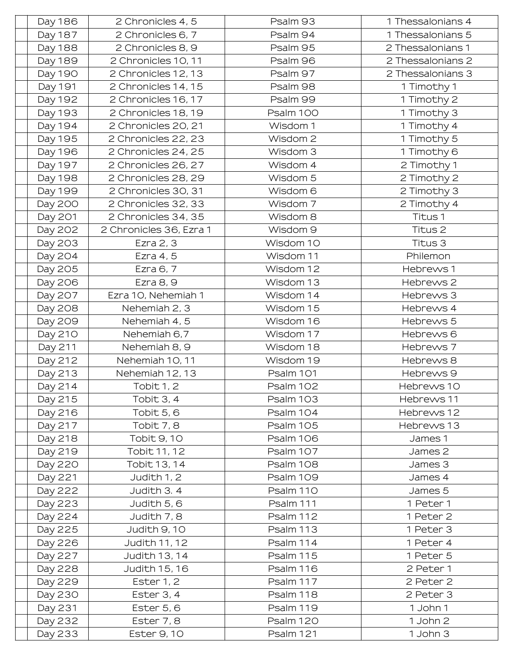| Day 186 | 2 Chronicles 4, 5       | Psalm 93  | 1 Thessalonians 4 |
|---------|-------------------------|-----------|-------------------|
| Day 187 | 2 Chronicles 6, 7       | Psalm 94  | 1 Thessalonians 5 |
| Day 188 | 2 Chronicles 8, 9       | Psalm 95  | 2 Thessalonians 1 |
| Day 189 | 2 Chronicles 10, 11     | Psalm 96  | 2 Thessalonians 2 |
| Day 190 | 2 Chronicles 12, 13     | Psalm 97  | 2 Thessalonians 3 |
| Day 191 | 2 Chronicles 14, 15     | Psalm 98  | 1 Timothy 1       |
| Day 192 | 2 Chronicles 16, 17     | Psalm 99  | 1 Timothy 2       |
| Day 193 | 2 Chronicles 18, 19     | Psalm 100 | 1 Timothy 3       |
| Day 194 | 2 Chronicles 20, 21     | Wisdom 1  | 1 Timothy 4       |
| Day 195 | 2 Chronicles 22, 23     | Wisdom 2  | 1 Timothy 5       |
| Day 196 | 2 Chronicles 24, 25     | Wisdom 3  | 1 Timothy 6       |
| Day 197 | 2 Chronicles 26, 27     | Wisdom 4  | 2 Timothy 1       |
| Day 198 | 2 Chronicles 28, 29     | Wisdom 5  | 2 Timothy 2       |
| Day 199 | 2 Chronicles 30, 31     | Wisdom 6  | 2 Timothy 3       |
| Day 200 | 2 Chronicles 32, 33     | Wisdom 7  | 2 Timothy 4       |
| Day 201 | 2 Chronicles 34, 35     | Wisdom 8  | Titus 1           |
| Day 202 | 2 Chronicles 36, Ezra 1 | Wisdom 9  | Titus 2           |
| Day 203 | Ezra 2, 3               | Wisdom 10 | Titus 3           |
| Day 204 | Ezra 4, 5               | Wisdom 11 | Philemon          |
| Day 205 | Ezra 6, 7               | Wisdom 12 | Hebrews 1         |
| Day 206 | Ezra 8, 9               | Wisdom 13 | Hebrews 2         |
| Day 207 | Ezra 10, Nehemiah 1     | Wisdom 14 | Hebrews 3         |
| Day 208 | Nehemiah 2, 3           | Wisdom 15 | Hebrews 4         |
| Day 209 | Nehemiah 4, 5           | Wisdom 16 | Hebrews 5         |
| Day 210 | Nehemiah 6,7            | Wisdom 17 | Hebrews 6         |
| Day 211 | Nehemiah 8, 9           | Wisdom 18 | Hebrews 7         |
| Day 212 | Nehemiah 10, 11         | Wisdom 19 | Hebrews 8         |
| Day 213 | Nehemiah 12, 13         | Psalm 101 | Hebrews 9         |
| Day 214 | Tobit 1, 2              | Psalm 102 | Hebrews 10        |
| Day 215 | Tobit 3, 4              | Psalm 103 | Hebrews 11        |
| Day 216 | Tobit 5, 6              | Psalm 104 | Hebrews 12        |
| Day 217 | Tobit 7, 8              | Psalm 105 | Hebrews 13        |
| Day 218 | Tobit 9, 10             | Psalm 106 | James 1           |
| Day 219 | Tobit 11, 12            | Psalm 107 | James 2           |
| Day 220 | Tobit 13, 14            | Psalm 108 | James 3           |
| Day 221 | Judith 1, 2             | Psalm 109 | James 4           |
| Day 222 | Judith 3.4              | Psalm 110 | James 5           |
| Day 223 | Judith 5, 6             | Psalm 111 | 1 Peter 1         |
| Day 224 | Judith 7, 8             | Psalm 112 | 1 Peter 2         |
| Day 225 | Judith 9, 10            | Psalm 113 | 1 Peter 3         |
| Day 226 | Judith 11, 12           | Psalm 114 | 1 Peter 4         |
| Day 227 | Judith 13, 14           | Psalm 115 | 1 Peter 5         |
| Day 228 | Judith 15, 16           | Psalm 116 | 2 Peter 1         |
| Day 229 | Ester 1, 2              | Psalm 117 | 2 Peter 2         |
| Day 230 | Ester 3, 4              | Psalm 118 | 2 Peter 3         |
| Day 231 | Ester 5, 6              | Psalm 119 | 1 John 1          |
| Day 232 | Ester 7, 8              | Psalm 120 | 1 John 2          |
| Day 233 | Ester 9, 10             | Psalm 121 | 1 John 3          |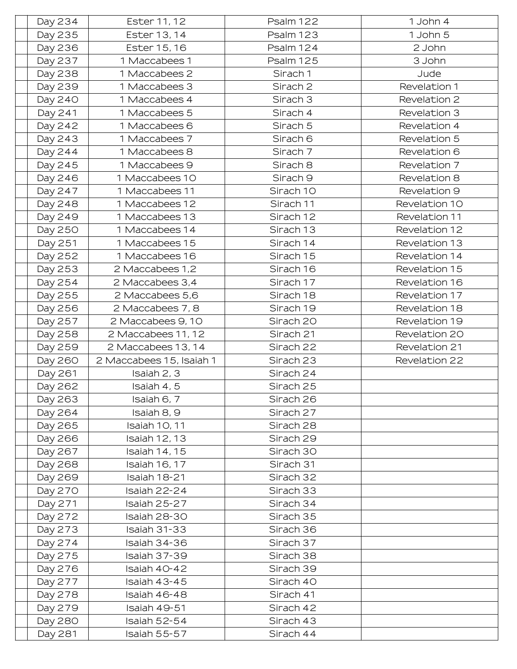| Day 234 | Ester 11, 12             | Psalm 122           | 1 John 4      |
|---------|--------------------------|---------------------|---------------|
| Day 235 | Ester 13, 14             | Psalm 123           | 1 John 5      |
| Day 236 | Ester 15, 16             | Psalm 124           | 2 John        |
| Day 237 | 1 Maccabees 1            | Psalm 125           | 3 John        |
| Day 238 | 1 Maccabees 2            | Sirach 1            | Jude          |
| Day 239 | 1 Maccabees 3            | Sirach <sub>2</sub> | Revelation 1  |
| Day 240 | 1 Maccabees 4            | Sirach <sub>3</sub> | Revelation 2  |
| Day 241 | 1 Maccabees 5            | Sirach 4            | Revelation 3  |
| Day 242 | 1 Maccabees 6            | Sirach 5            | Revelation 4  |
| Day 243 | 1 Maccabees 7            | Sirach 6            | Revelation 5  |
| Day 244 | 1 Maccabees 8            | Sirach 7            | Revelation 6  |
| Day 245 | 1 Maccabees 9            | Sirach 8            | Revelation 7  |
| Day 246 | 1 Maccabees 10           | Sirach <sub>9</sub> | Revelation 8  |
| Day 247 | 1 Maccabees 11           | Sirach 10           | Revelation 9  |
| Day 248 | 1 Maccabees 12           | Sirach 11           | Revelation 10 |
| Day 249 | 1 Maccabees 13           | Sirach 12           | Revelation 11 |
| Day 250 | 1 Maccabees 14           | Sirach 13           | Revelation 12 |
| Day 251 | 1 Maccabees 15           | Sirach 14           | Revelation 13 |
| Day 252 | 1 Maccabees 16           | Sirach 15           | Revelation 14 |
| Day 253 | 2 Maccabees 1,2          | Sirach 16           | Revelation 15 |
| Day 254 | 2 Maccabees 3,4          | Sirach 17           | Revelation 16 |
| Day 255 | 2 Maccabees 5,6          | Sirach 18           | Revelation 17 |
| Day 256 | 2 Maccabees 7, 8         | Sirach 19           | Revelation 18 |
| Day 257 | 2 Maccabees 9, 10        | Sirach 20           | Revelation 19 |
| Day 258 | 2 Maccabees 11, 12       | Sirach 21           | Revelation 20 |
| Day 259 | 2 Maccabees 13, 14       | Sirach 22           | Revelation 21 |
| Day 260 | 2 Maccabees 15, Isaiah 1 | Sirach 23           | Revelation 22 |
| Day 261 | Isaiah 2, 3              | Sirach 24           |               |
| Day 262 | Isaiah 4, 5              | Sirach 25           |               |
| Day 263 | Isaiah 6, 7              | Sirach 26           |               |
| Day 264 | Isaiah 8, 9              | Sirach 27           |               |
| Day 265 | <b>Isaiah 10, 11</b>     | Sirach 28           |               |
| Day 266 | <b>Isaiah 12, 13</b>     | Sirach 29           |               |
| Day 267 | <b>Isaiah 14, 15</b>     | Sirach 30           |               |
| Day 268 | <b>Isaiah 16, 17</b>     | Sirach 31           |               |
| Day 269 | Isaiah 18-21             | Sirach 32           |               |
| Day 270 | Isaiah 22-24             | Sirach 33           |               |
| Day 271 | Isaiah 25-27             | Sirach 34           |               |
| Day 272 | Isaiah 28-30             | Sirach 35           |               |
| Day 273 | Isaiah 31-33             | Sirach 36           |               |
| Day 274 | Isaiah 34-36             | Sirach 37           |               |
| Day 275 | Isaiah 37-39             | Sirach 38           |               |
| Day 276 | Isaiah 40-42             | Sirach 39           |               |
| Day 277 | Isaiah 43-45             | Sirach 40           |               |
| Day 278 | Isaiah 46-48             | Sirach 41           |               |
| Day 279 | Isaiah 49-51             | Sirach 42           |               |
| Day 280 | Isaiah 52-54             | Sirach 43           |               |
| Day 281 | Isaiah 55-57             | Sirach 44           |               |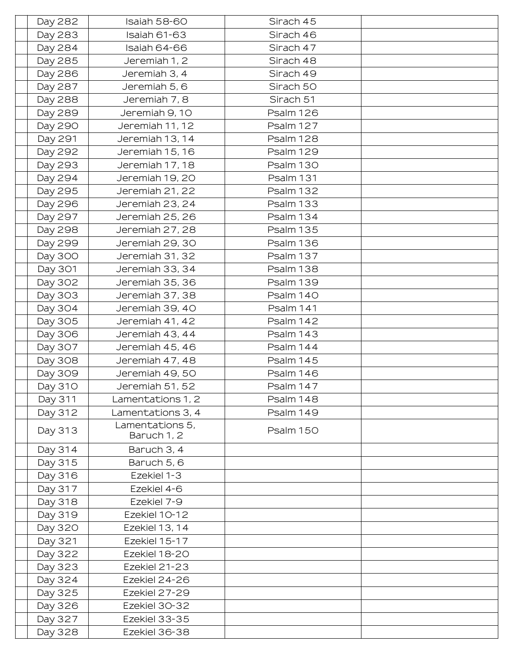| Day 282 | Isaiah 58-60                   | Sirach 45 |  |
|---------|--------------------------------|-----------|--|
| Day 283 | Isaiah 61-63                   | Sirach 46 |  |
| Day 284 | Isaiah 64-66                   | Sirach 47 |  |
| Day 285 | Jeremiah 1, 2                  | Sirach 48 |  |
| Day 286 | Jeremiah 3, 4                  | Sirach 49 |  |
| Day 287 | Jeremiah 5, 6                  | Sirach 50 |  |
| Day 288 | Jeremiah 7, 8                  | Sirach 51 |  |
| Day 289 | Jeremiah 9, 10                 | Psalm 126 |  |
| Day 290 | Jeremiah 11, 12                | Psalm 127 |  |
| Day 291 | Jeremiah 13, 14                | Psalm 128 |  |
| Day 292 | Jeremiah 15, 16                | Psalm 129 |  |
| Day 293 | Jeremiah 17, 18                | Psalm 130 |  |
| Day 294 | Jeremiah 19, 20                | Psalm 131 |  |
| Day 295 | Jeremiah 21, 22                | Psalm 132 |  |
| Day 296 | Jeremiah 23, 24                | Psalm 133 |  |
| Day 297 | Jeremiah 25, 26                | Psalm 134 |  |
| Day 298 | Jeremiah 27, 28                | Psalm 135 |  |
| Day 299 | Jeremiah 29, 30                | Psalm 136 |  |
| Day 300 | Jeremiah 31, 32                | Psalm 137 |  |
| Day 301 | Jeremiah 33, 34                | Psalm 138 |  |
| Day 302 | Jeremiah 35, 36                | Psalm 139 |  |
| Day 303 | Jeremiah 37, 38                | Psalm 140 |  |
| Day 304 | Jeremiah 39, 40                | Psalm 141 |  |
| Day 305 | Jeremiah 41, 42                | Psalm 142 |  |
| Day 306 | Jeremiah 43, 44                | Psalm 143 |  |
| Day 307 | Jeremiah 45, 46                | Psalm 144 |  |
| Day 308 | Jeremiah 47, 48                | Psalm 145 |  |
| Day 309 | Jeremiah 49, 50                | Psalm 146 |  |
| Day 310 | Jeremiah 51, 52                | Psalm 147 |  |
| Day 311 | Lamentations 1, 2              | Psalm 148 |  |
| Day 312 | Lamentations 3, 4              | Psalm 149 |  |
| Day 313 | Lamentations 5,<br>Baruch 1, 2 | Psalm 150 |  |
| Day 314 | Baruch 3, 4                    |           |  |
| Day 315 | Baruch 5, 6                    |           |  |
| Day 316 | Ezekiel 1-3                    |           |  |
| Day 317 | Ezekiel 4-6                    |           |  |
| Day 318 | Ezekiel 7-9                    |           |  |
| Day 319 | Ezekiel 10-12                  |           |  |
| Day 320 | Ezekiel 13, 14                 |           |  |
| Day 321 | Ezekiel 15-17                  |           |  |
| Day 322 | Ezekiel 18-20                  |           |  |
| Day 323 | Ezekiel 21-23                  |           |  |
| Day 324 | Ezekiel 24-26                  |           |  |
| Day 325 | Ezekiel 27-29                  |           |  |
| Day 326 | Ezekiel 30-32                  |           |  |
| Day 327 | Ezekiel 33-35                  |           |  |
| Day 328 | Ezekiel 36-38                  |           |  |